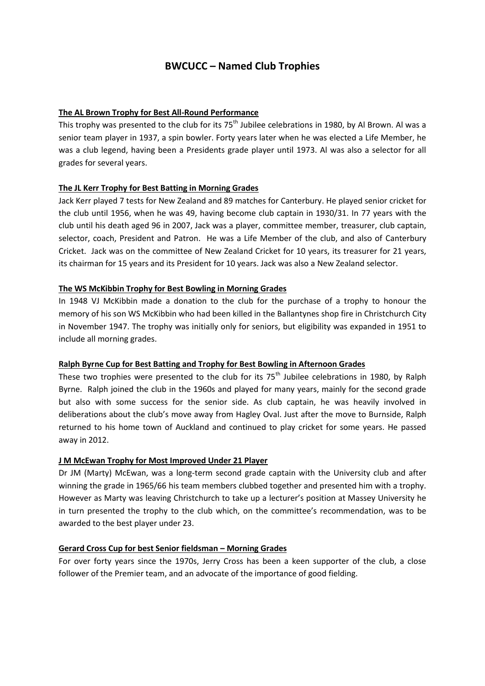# **BWCUCC – Named Club Trophies**

## **The AL Brown Trophy for Best All-Round Performance**

This trophy was presented to the club for its  $75<sup>th</sup>$  Jubilee celebrations in 1980, by Al Brown. Al was a senior team player in 1937, a spin bowler. Forty years later when he was elected a Life Member, he was a club legend, having been a Presidents grade player until 1973. Al was also a selector for all grades for several years.

### **The JL Kerr Trophy for Best Batting in Morning Grades**

Jack Kerr played 7 tests for New Zealand and 89 matches for Canterbury. He played senior cricket for the club until 1956, when he was 49, having become club captain in 1930/31. In 77 years with the club until his death aged 96 in 2007, Jack was a player, committee member, treasurer, club captain, selector, coach, President and Patron. He was a Life Member of the club, and also of Canterbury Cricket. Jack was on the committee of New Zealand Cricket for 10 years, its treasurer for 21 years, its chairman for 15 years and its President for 10 years. Jack was also a New Zealand selector.

### **The WS McKibbin Trophy for Best Bowling in Morning Grades**

In 1948 VJ McKibbin made a donation to the club for the purchase of a trophy to honour the memory of his son WS McKibbin who had been killed in the Ballantynes shop fire in Christchurch City in November 1947. The trophy was initially only for seniors, but eligibility was expanded in 1951 to include all morning grades.

#### **Ralph Byrne Cup for Best Batting and Trophy for Best Bowling in Afternoon Grades**

These two trophies were presented to the club for its  $75<sup>th</sup>$  Jubilee celebrations in 1980, by Ralph Byrne. Ralph joined the club in the 1960s and played for many years, mainly for the second grade but also with some success for the senior side. As club captain, he was heavily involved in deliberations about the club's move away from Hagley Oval. Just after the move to Burnside, Ralph returned to his home town of Auckland and continued to play cricket for some years. He passed away in 2012.

#### **J M McEwan Trophy for Most Improved Under 21 Player**

Dr JM (Marty) McEwan, was a long-term second grade captain with the University club and after winning the grade in 1965/66 his team members clubbed together and presented him with a trophy. However as Marty was leaving Christchurch to take up a lecturer's position at Massey University he in turn presented the trophy to the club which, on the committee's recommendation, was to be awarded to the best player under 23.

#### **Gerard Cross Cup for best Senior fieldsman – Morning Grades**

For over forty years since the 1970s, Jerry Cross has been a keen supporter of the club, a close follower of the Premier team, and an advocate of the importance of good fielding.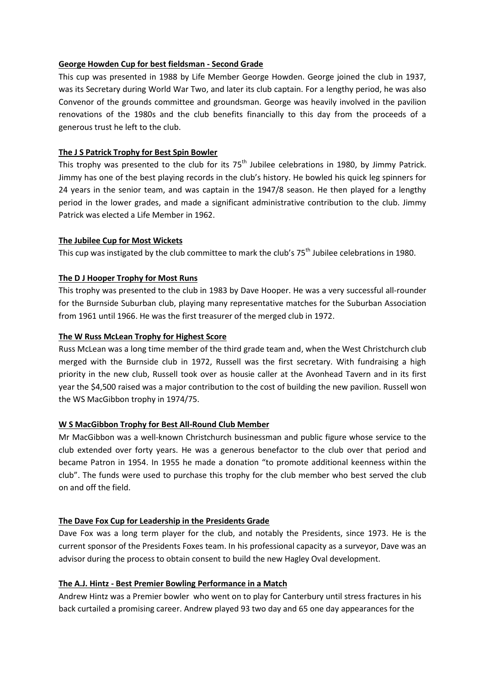#### **George Howden Cup for best fieldsman - Second Grade**

This cup was presented in 1988 by Life Member George Howden. George joined the club in 1937, was its Secretary during World War Two, and later its club captain. For a lengthy period, he was also Convenor of the grounds committee and groundsman. George was heavily involved in the pavilion renovations of the 1980s and the club benefits financially to this day from the proceeds of a generous trust he left to the club.

# **The J S Patrick Trophy for Best Spin Bowler**

This trophy was presented to the club for its  $75<sup>th</sup>$  Jubilee celebrations in 1980, by Jimmy Patrick. Jimmy has one of the best playing records in the club's history. He bowled his quick leg spinners for 24 years in the senior team, and was captain in the 1947/8 season. He then played for a lengthy period in the lower grades, and made a significant administrative contribution to the club. Jimmy Patrick was elected a Life Member in 1962.

### **The Jubilee Cup for Most Wickets**

This cup was instigated by the club committee to mark the club's  $75<sup>th</sup>$  Jubilee celebrations in 1980.

# **The D J Hooper Trophy for Most Runs**

This trophy was presented to the club in 1983 by Dave Hooper. He was a very successful all-rounder for the Burnside Suburban club, playing many representative matches for the Suburban Association from 1961 until 1966. He was the first treasurer of the merged club in 1972.

#### **The W Russ McLean Trophy for Highest Score**

Russ McLean was a long time member of the third grade team and, when the West Christchurch club merged with the Burnside club in 1972, Russell was the first secretary. With fundraising a high priority in the new club, Russell took over as housie caller at the Avonhead Tavern and in its first year the \$4,500 raised was a major contribution to the cost of building the new pavilion. Russell won the WS MacGibbon trophy in 1974/75.

# **W S MacGibbon Trophy for Best All-Round Club Member**

Mr MacGibbon was a well-known Christchurch businessman and public figure whose service to the club extended over forty years. He was a generous benefactor to the club over that period and became Patron in 1954. In 1955 he made a donation "to promote additional keenness within the club". The funds were used to purchase this trophy for the club member who best served the club on and off the field.

# **The Dave Fox Cup for Leadership in the Presidents Grade**

Dave Fox was a long term player for the club, and notably the Presidents, since 1973. He is the current sponsor of the Presidents Foxes team. In his professional capacity as a surveyor, Dave was an advisor during the process to obtain consent to build the new Hagley Oval development.

### **The A.J. Hintz - Best Premier Bowling Performance in a Match**

Andrew Hintz was a Premier bowler who went on to play for Canterbury until stress fractures in his back curtailed a promising career. Andrew played 93 two day and 65 one day appearances for the